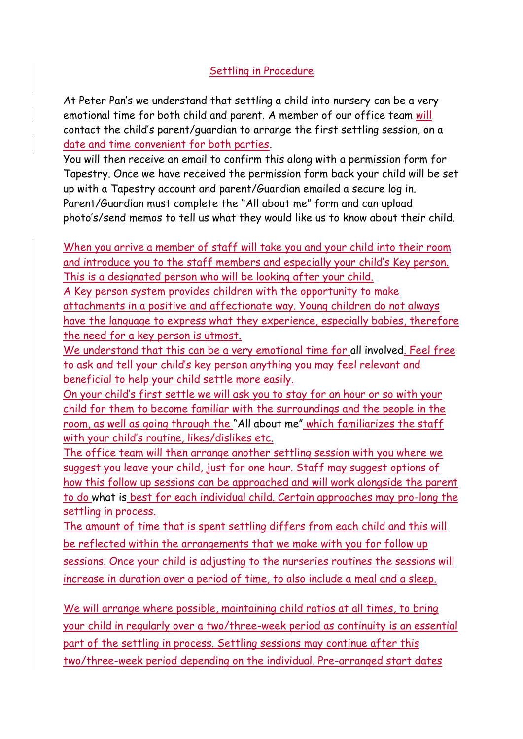## Settling in Procedure

At Peter Pan's we understand that settling a child into nursery can be a very emotional time for both child and parent. A member of our office team will contact the child's parent/guardian to arrange the first settling session, on a date and time convenient for both parties.

You will then receive an email to confirm this along with a permission form for Tapestry. Once we have received the permission form back your child will be set up with a Tapestry account and parent/Guardian emailed a secure log in. Parent/Guardian must complete the "All about me" form and can upload photo's/send memos to tell us what they would like us to know about their child.

When you arrive a member of staff will take you and your child into their room and introduce you to the staff members and especially your child's Key person. This is a designated person who will be looking after your child.

A Key person system provides children with the opportunity to make attachments in a positive and affectionate way. Young children do not always have the language to express what they experience, especially babies, therefore the need for a key person is utmost.

We understand that this can be a very emotional time for all involved. Feel free to ask and tell your child's key person anything you may feel relevant and beneficial to help your child settle more easily.

On your child's first settle we will ask you to stay for an hour or so with your child for them to become familiar with the surroundings and the people in the room, as well as going through the "All about me" which familiarizes the staff with your child's routine, likes/dislikes etc.

The office team will then arrange another settling session with you where we suggest you leave your child, just for one hour. Staff may suggest options of how this follow up sessions can be approached and will work alongside the parent to do what is best for each individual child. Certain approaches may pro-long the settling in process.

The amount of time that is spent settling differs from each child and this will be reflected within the arrangements that we make with you for follow up sessions. Once your child is adjusting to the nurseries routines the sessions will increase in duration over a period of time, to also include a meal and a sleep.

We will arrange where possible, maintaining child ratios at all times, to bring your child in regularly over a two/three-week period as continuity is an essential part of the settling in process. Settling sessions may continue after this two/three-week period depending on the individual. Pre-arranged start dates